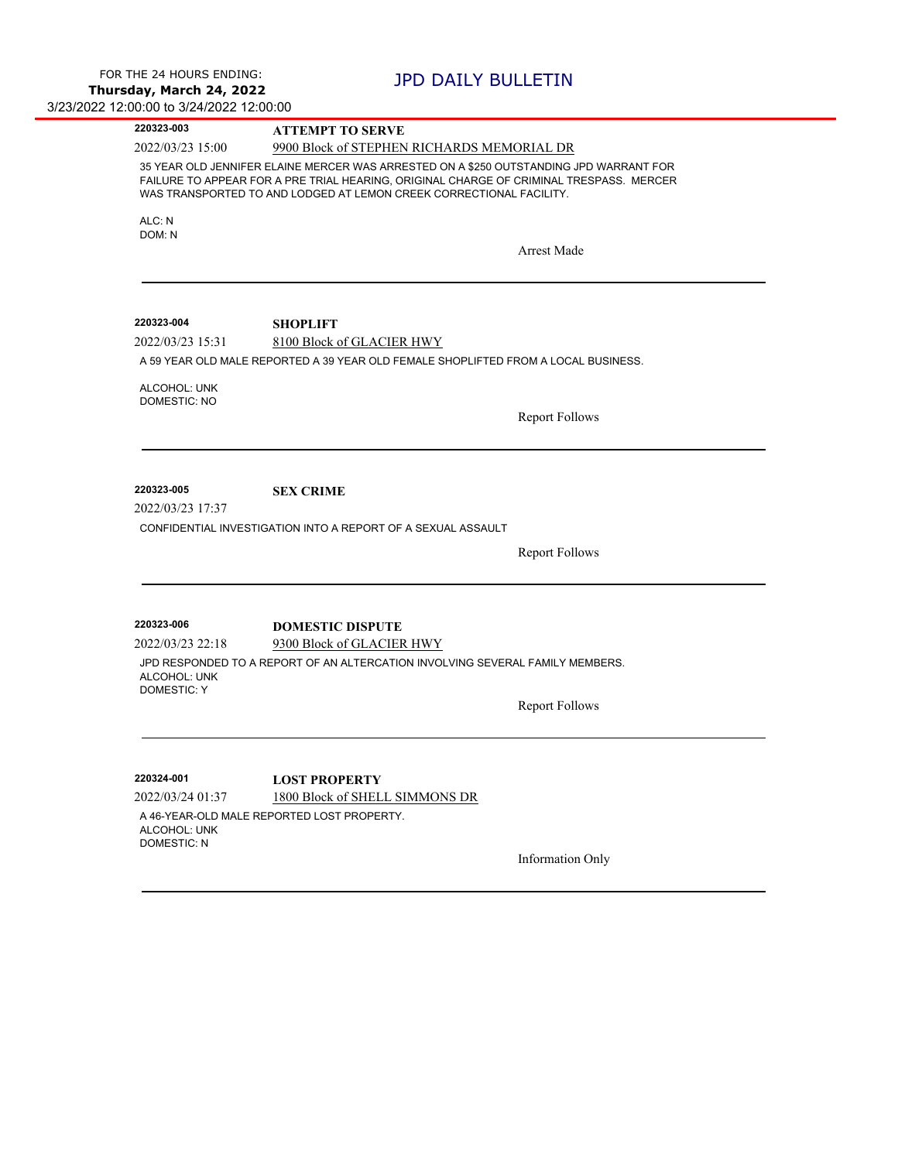$\overline{\phantom{a}}$ 

 $\overline{\phantom{0}}$ 

÷,

| 220323-003                                             | <b>ATTEMPT TO SERVE</b>                                                                                                                                                                                                                                  |                       |  |
|--------------------------------------------------------|----------------------------------------------------------------------------------------------------------------------------------------------------------------------------------------------------------------------------------------------------------|-----------------------|--|
| 2022/03/23 15:00                                       | 9900 Block of STEPHEN RICHARDS MEMORIAL DR                                                                                                                                                                                                               |                       |  |
|                                                        | 35 YEAR OLD JENNIFER ELAINE MERCER WAS ARRESTED ON A \$250 OUTSTANDING JPD WARRANT FOR<br>FAILURE TO APPEAR FOR A PRE TRIAL HEARING, ORIGINAL CHARGE OF CRIMINAL TRESPASS. MERCER<br>WAS TRANSPORTED TO AND LODGED AT LEMON CREEK CORRECTIONAL FACILITY. |                       |  |
| ALC: N<br>DOM: N                                       |                                                                                                                                                                                                                                                          |                       |  |
|                                                        |                                                                                                                                                                                                                                                          | <b>Arrest Made</b>    |  |
| 220323-004                                             | <b>SHOPLIFT</b>                                                                                                                                                                                                                                          |                       |  |
| 2022/03/23 15:31                                       | 8100 Block of GLACIER HWY                                                                                                                                                                                                                                |                       |  |
|                                                        | A 59 YEAR OLD MALE REPORTED A 39 YEAR OLD FEMALE SHOPLIFTED FROM A LOCAL BUSINESS.                                                                                                                                                                       |                       |  |
| ALCOHOL: UNK                                           |                                                                                                                                                                                                                                                          |                       |  |
| <b>DOMESTIC: NO</b>                                    |                                                                                                                                                                                                                                                          |                       |  |
|                                                        |                                                                                                                                                                                                                                                          | <b>Report Follows</b> |  |
|                                                        |                                                                                                                                                                                                                                                          |                       |  |
|                                                        |                                                                                                                                                                                                                                                          |                       |  |
| 220323-005                                             |                                                                                                                                                                                                                                                          |                       |  |
| 2022/03/23 17:37                                       | <b>SEX CRIME</b>                                                                                                                                                                                                                                         |                       |  |
|                                                        | CONFIDENTIAL INVESTIGATION INTO A REPORT OF A SEXUAL ASSAULT                                                                                                                                                                                             |                       |  |
|                                                        |                                                                                                                                                                                                                                                          |                       |  |
|                                                        |                                                                                                                                                                                                                                                          | <b>Report Follows</b> |  |
|                                                        |                                                                                                                                                                                                                                                          |                       |  |
| 220323-006                                             | <b>DOMESTIC DISPUTE</b>                                                                                                                                                                                                                                  |                       |  |
| 2022/03/23 22:18                                       | 9300 Block of GLACIER HWY                                                                                                                                                                                                                                |                       |  |
| ALCOHOL: UNK<br><b>DOMESTIC: Y</b>                     | JPD RESPONDED TO A REPORT OF AN ALTERCATION INVOLVING SEVERAL FAMILY MEMBERS.                                                                                                                                                                            |                       |  |
|                                                        |                                                                                                                                                                                                                                                          | <b>Report Follows</b> |  |
|                                                        |                                                                                                                                                                                                                                                          |                       |  |
| 220324-001                                             | <b>LOST PROPERTY</b>                                                                                                                                                                                                                                     |                       |  |
| 2022/03/24 01:37<br>ALCOHOL: UNK<br><b>DOMESTIC: N</b> | 1800 Block of SHELL SIMMONS DR<br>A 46-YEAR-OLD MALE REPORTED LOST PROPERTY.                                                                                                                                                                             |                       |  |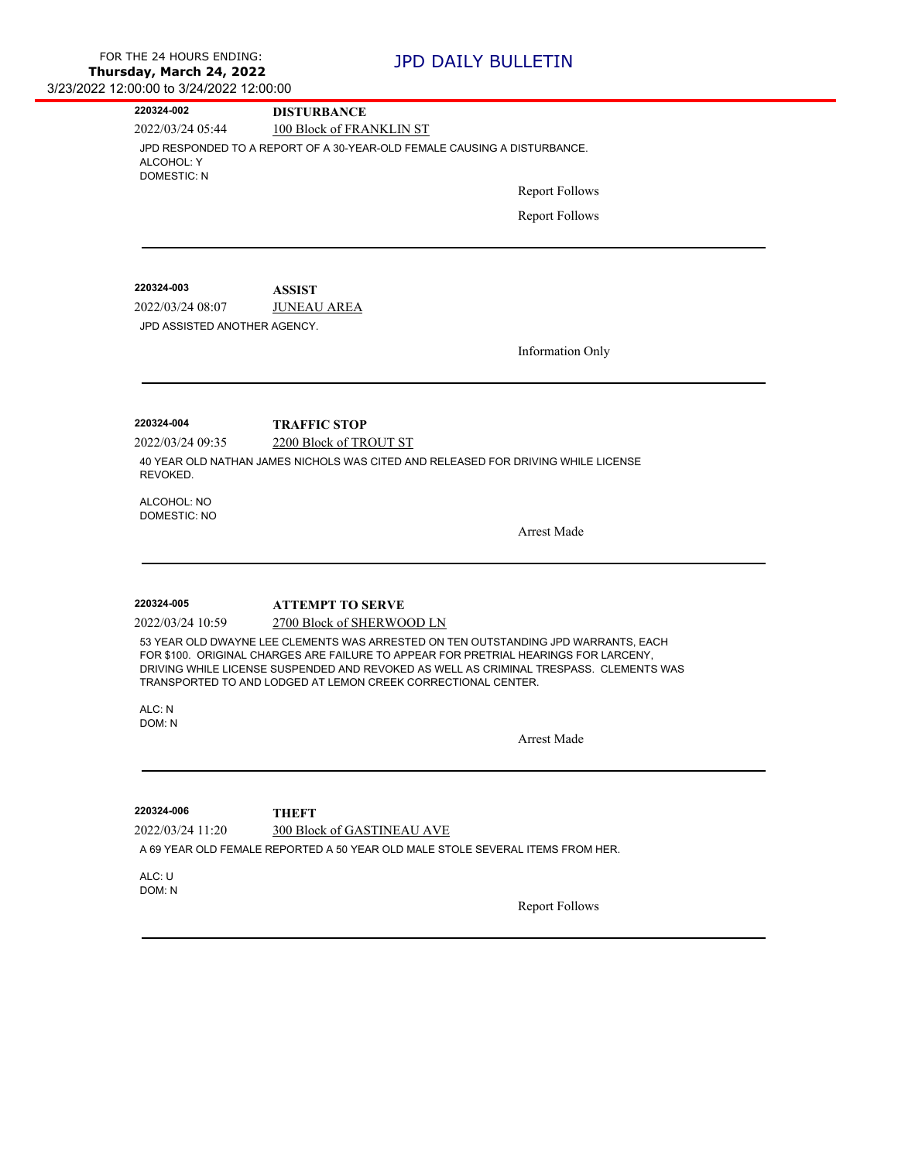| 220324-002                       | <b>DISTURBANCE</b>                                                                                                                                                                                                                                                                                                                    |  |  |  |  |
|----------------------------------|---------------------------------------------------------------------------------------------------------------------------------------------------------------------------------------------------------------------------------------------------------------------------------------------------------------------------------------|--|--|--|--|
| 2022/03/24 05:44                 | 100 Block of FRANKLIN ST                                                                                                                                                                                                                                                                                                              |  |  |  |  |
| ALCOHOL: Y<br><b>DOMESTIC: N</b> | JPD RESPONDED TO A REPORT OF A 30-YEAR-OLD FEMALE CAUSING A DISTURBANCE.                                                                                                                                                                                                                                                              |  |  |  |  |
|                                  | <b>Report Follows</b>                                                                                                                                                                                                                                                                                                                 |  |  |  |  |
|                                  | <b>Report Follows</b>                                                                                                                                                                                                                                                                                                                 |  |  |  |  |
| 220324-003                       | <b>ASSIST</b>                                                                                                                                                                                                                                                                                                                         |  |  |  |  |
| 2022/03/24 08:07                 | <b>JUNEAU AREA</b>                                                                                                                                                                                                                                                                                                                    |  |  |  |  |
| JPD ASSISTED ANOTHER AGENCY.     |                                                                                                                                                                                                                                                                                                                                       |  |  |  |  |
|                                  | <b>Information Only</b>                                                                                                                                                                                                                                                                                                               |  |  |  |  |
| 220324-004                       | <b>TRAFFIC STOP</b>                                                                                                                                                                                                                                                                                                                   |  |  |  |  |
| 2022/03/24 09:35                 | 2200 Block of TROUT ST                                                                                                                                                                                                                                                                                                                |  |  |  |  |
| REVOKED.                         | 40 YEAR OLD NATHAN JAMES NICHOLS WAS CITED AND RELEASED FOR DRIVING WHILE LICENSE                                                                                                                                                                                                                                                     |  |  |  |  |
| ALCOHOL: NO                      |                                                                                                                                                                                                                                                                                                                                       |  |  |  |  |
| <b>DOMESTIC: NO</b>              | <b>Arrest Made</b>                                                                                                                                                                                                                                                                                                                    |  |  |  |  |
| 220324-005                       |                                                                                                                                                                                                                                                                                                                                       |  |  |  |  |
| 2022/03/24 10:59                 | <b>ATTEMPT TO SERVE</b><br>2700 Block of SHERWOOD LN                                                                                                                                                                                                                                                                                  |  |  |  |  |
|                                  | 53 YEAR OLD DWAYNE LEE CLEMENTS WAS ARRESTED ON TEN OUTSTANDING JPD WARRANTS, EACH<br>FOR \$100. ORIGINAL CHARGES ARE FAILURE TO APPEAR FOR PRETRIAL HEARINGS FOR LARCENY,<br>DRIVING WHILE LICENSE SUSPENDED AND REVOKED AS WELL AS CRIMINAL TRESPASS. CLEMENTS WAS<br>TRANSPORTED TO AND LODGED AT LEMON CREEK CORRECTIONAL CENTER. |  |  |  |  |
| ALC: N<br>DOM: N                 |                                                                                                                                                                                                                                                                                                                                       |  |  |  |  |
|                                  | <b>Arrest Made</b>                                                                                                                                                                                                                                                                                                                    |  |  |  |  |
| 220324-006                       | <b>THEFT</b>                                                                                                                                                                                                                                                                                                                          |  |  |  |  |
| 2022/03/24 11:20                 | <b>300 Block of GASTINEAU AVE</b>                                                                                                                                                                                                                                                                                                     |  |  |  |  |
|                                  | A 69 YEAR OLD FEMALE REPORTED A 50 YEAR OLD MALE STOLE SEVERAL ITEMS FROM HER.                                                                                                                                                                                                                                                        |  |  |  |  |
| ALC: U<br>DOM: N                 |                                                                                                                                                                                                                                                                                                                                       |  |  |  |  |
|                                  | <b>Report Follows</b>                                                                                                                                                                                                                                                                                                                 |  |  |  |  |
|                                  |                                                                                                                                                                                                                                                                                                                                       |  |  |  |  |